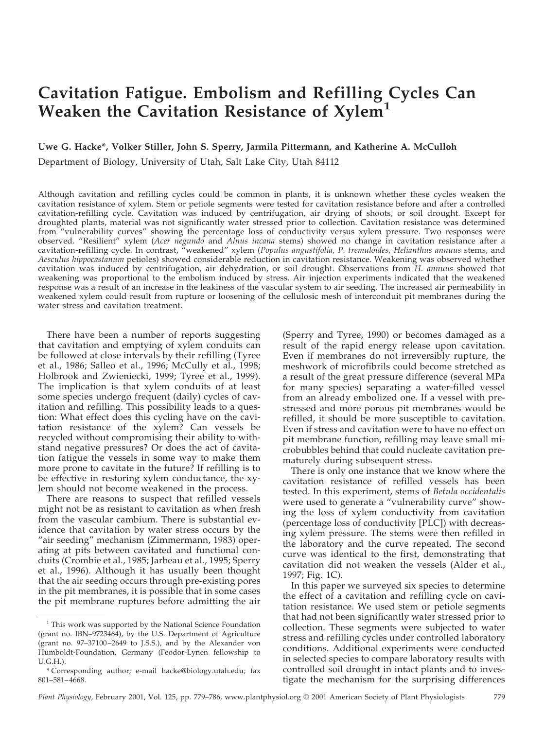# **Cavitation Fatigue. Embolism and Refilling Cycles Can Weaken the Cavitation Resistance of Xylem<sup>1</sup>**

**Uwe G. Hacke\*, Volker Stiller, John S. Sperry, Jarmila Pittermann, and Katherine A. McCulloh** Department of Biology, University of Utah, Salt Lake City, Utah 84112

Although cavitation and refilling cycles could be common in plants, it is unknown whether these cycles weaken the cavitation resistance of xylem. Stem or petiole segments were tested for cavitation resistance before and after a controlled cavitation-refilling cycle. Cavitation was induced by centrifugation, air drying of shoots, or soil drought. Except for droughted plants, material was not significantly water stressed prior to collection. Cavitation resistance was determined from "vulnerability curves" showing the percentage loss of conductivity versus xylem pressure. Two responses were observed. "Resilient" xylem (*Acer negundo* and *Alnus incana* stems) showed no change in cavitation resistance after a cavitation-refilling cycle. In contrast, "weakened" xylem (*Populus angustifolia, P. tremuloides, Helianthus annuus* stems, and *Aesculus hippocastanum* petioles) showed considerable reduction in cavitation resistance. Weakening was observed whether cavitation was induced by centrifugation, air dehydration, or soil drought. Observations from *H. annuus* showed that weakening was proportional to the embolism induced by stress. Air injection experiments indicated that the weakened response was a result of an increase in the leakiness of the vascular system to air seeding. The increased air permeability in weakened xylem could result from rupture or loosening of the cellulosic mesh of interconduit pit membranes during the water stress and cavitation treatment.

There have been a number of reports suggesting that cavitation and emptying of xylem conduits can be followed at close intervals by their refilling (Tyree et al., 1986; Salleo et al., 1996; McCully et al., 1998; Holbrook and Zwieniecki, 1999; Tyree et al., 1999). The implication is that xylem conduits of at least some species undergo frequent (daily) cycles of cavitation and refilling. This possibility leads to a question: What effect does this cycling have on the cavitation resistance of the xylem? Can vessels be recycled without compromising their ability to withstand negative pressures? Or does the act of cavitation fatigue the vessels in some way to make them more prone to cavitate in the future? If refilling is to be effective in restoring xylem conductance, the xylem should not become weakened in the process.

There are reasons to suspect that refilled vessels might not be as resistant to cavitation as when fresh from the vascular cambium. There is substantial evidence that cavitation by water stress occurs by the "air seeding" mechanism (Zimmermann, 1983) operating at pits between cavitated and functional conduits (Crombie et al., 1985; Jarbeau et al., 1995; Sperry et al., 1996). Although it has usually been thought that the air seeding occurs through pre-existing pores in the pit membranes, it is possible that in some cases the pit membrane ruptures before admitting the air

(Sperry and Tyree, 1990) or becomes damaged as a result of the rapid energy release upon cavitation. Even if membranes do not irreversibly rupture, the meshwork of microfibrils could become stretched as a result of the great pressure difference (several MPa for many species) separating a water-filled vessel from an already embolized one. If a vessel with prestressed and more porous pit membranes would be refilled, it should be more susceptible to cavitation. Even if stress and cavitation were to have no effect on pit membrane function, refilling may leave small microbubbles behind that could nucleate cavitation prematurely during subsequent stress.

There is only one instance that we know where the cavitation resistance of refilled vessels has been tested. In this experiment, stems of *Betula occidentalis* were used to generate a "vulnerability curve" showing the loss of xylem conductivity from cavitation (percentage loss of conductivity [PLC]) with decreasing xylem pressure. The stems were then refilled in the laboratory and the curve repeated. The second curve was identical to the first, demonstrating that cavitation did not weaken the vessels (Alder et al., 1997; Fig. 1C).

In this paper we surveyed six species to determine the effect of a cavitation and refilling cycle on cavitation resistance. We used stem or petiole segments that had not been significantly water stressed prior to collection. These segments were subjected to water stress and refilling cycles under controlled laboratory conditions. Additional experiments were conducted in selected species to compare laboratory results with controlled soil drought in intact plants and to investigate the mechanism for the surprising differences

<sup>&</sup>lt;sup>1</sup> This work was supported by the National Science Foundation (grant no. IBN–9723464), by the U.S. Department of Agriculture (grant no. 97–37100–2649 to J.S.S.), and by the Alexander von Humboldt-Foundation, Germany (Feodor-Lynen fellowship to U.G.H.).

<sup>\*</sup> Corresponding author; e-mail hacke@biology.utah.edu; fax 801–581–4668.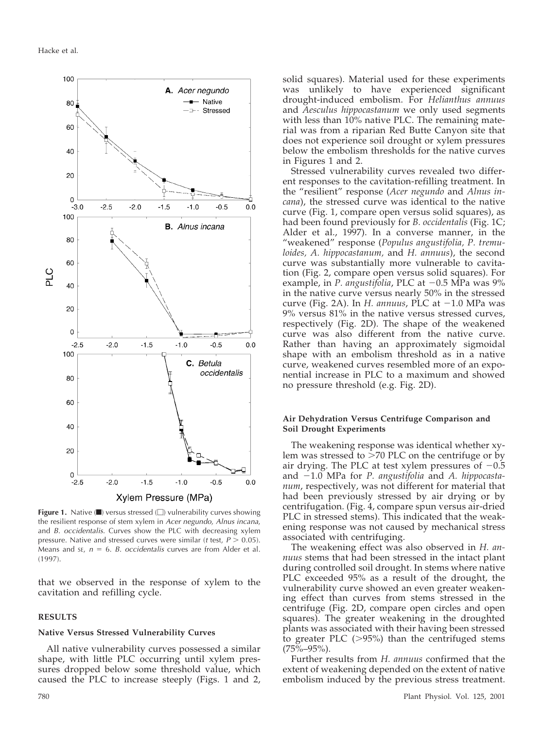

**Figure 1.** Native  $(\blacksquare)$  versus stressed  $(\square)$  vulnerability curves showing the resilient response of stem xylem in Acer negundo, Alnus incana, and B. occidentalis. Curves show the PLC with decreasing xylem pressure. Native and stressed curves were similar (*t* test,  $P > 0.05$ ). Means and se,  $n = 6$ . B. occidentalis curves are from Alder et al. (1997).

that we observed in the response of xylem to the cavitation and refilling cycle.

#### **RESULTS**

#### **Native Versus Stressed Vulnerability Curves**

All native vulnerability curves possessed a similar shape, with little PLC occurring until xylem pressures dropped below some threshold value, which caused the PLC to increase steeply (Figs. 1 and 2,

ent responses to the cavitation-refilling treatment. In the "resilient" response (*Acer negundo* and *Alnus incana*), the stressed curve was identical to the native

in Figures 1 and 2.

curve (Fig. 1, compare open versus solid squares), as had been found previously for *B. occidentalis* (Fig. 1C; Alder et al., 1997). In a converse manner, in the "weakened" response (*Populus angustifolia, P. tremuloides, A. hippocastanum,* and *H. annuus*), the second curve was substantially more vulnerable to cavitation (Fig. 2, compare open versus solid squares). For example, in *P. angustifolia*, PLC at  $-0.5$  MPa was 9% in the native curve versus nearly 50% in the stressed curve (Fig. 2A). In *H. annuus*, PLC at  $-1.0$  MPa was 9% versus 81% in the native versus stressed curves, respectively (Fig. 2D). The shape of the weakened curve was also different from the native curve. Rather than having an approximately sigmoidal shape with an embolism threshold as in a native curve, weakened curves resembled more of an exponential increase in PLC to a maximum and showed no pressure threshold (e.g. Fig. 2D).

solid squares). Material used for these experiments was unlikely to have experienced significant drought-induced embolism. For *Helianthus annuus* and *Aesculus hippocastanum* we only used segments with less than 10% native PLC. The remaining material was from a riparian Red Butte Canyon site that does not experience soil drought or xylem pressures below the embolism thresholds for the native curves

Stressed vulnerability curves revealed two differ-

## **Air Dehydration Versus Centrifuge Comparison and Soil Drought Experiments**

The weakening response was identical whether xylem was stressed to  $>70$  PLC on the centrifuge or by air drying. The PLC at test xylem pressures of  $-0.5$ and 21.0 MPa for *P. angustifolia* and *A. hippocastanum*, respectively, was not different for material that had been previously stressed by air drying or by centrifugation. (Fig. 4, compare spun versus air-dried PLC in stressed stems). This indicated that the weakening response was not caused by mechanical stress associated with centrifuging.

The weakening effect was also observed in *H. annuus* stems that had been stressed in the intact plant during controlled soil drought. In stems where native PLC exceeded 95% as a result of the drought, the vulnerability curve showed an even greater weakening effect than curves from stems stressed in the centrifuge (Fig. 2D, compare open circles and open squares). The greater weakening in the droughted plants was associated with their having been stressed to greater PLC  $(>95%)$  than the centrifuged stems  $(75\% - 95\%)$ .

Further results from *H. annuus* confirmed that the extent of weakening depended on the extent of native embolism induced by the previous stress treatment.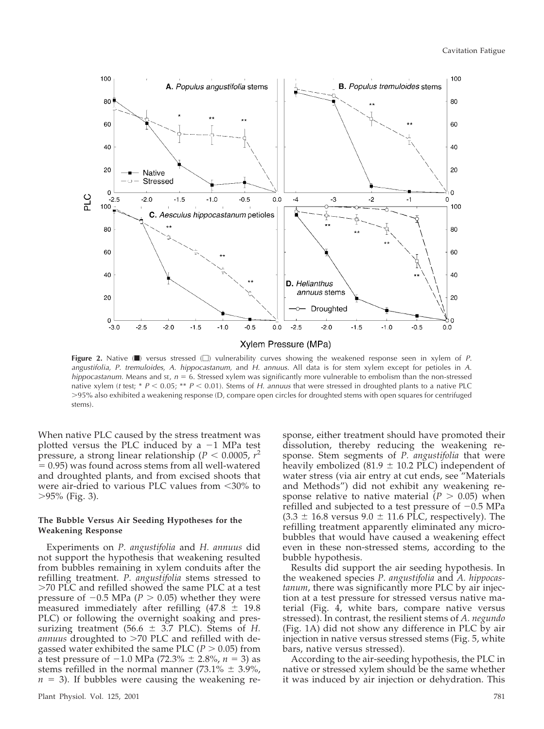

**Figure 2.** Native  $(\blacksquare)$  versus stressed  $(\square)$  vulnerability curves showing the weakened response seen in xylem of P. angustifolia, P. tremuloides, A. hippocastanum, and H. annuus. All data is for stem xylem except for petioles in A. hippocastanum. Means and  $s_{F}$ ,  $n = 6$ . Stressed xylem was significantly more vulnerable to embolism than the non-stressed native xylem (t test; \*  $P$  < 0.05; \*\*  $P$  < 0.01). Stems of H. annuus that were stressed in droughted plants to a native PLC .95% also exhibited a weakening response (D, compare open circles for droughted stems with open squares for centrifuged stems).

When native PLC caused by the stress treatment was plotted versus the PLC induced by a  $-1$  MPa test pressure, a strong linear relationship ( $P < 0.0005$ ,  $r<sup>2</sup>$  $= 0.95$ ) was found across stems from all well-watered and droughted plants, and from excised shoots that were air-dried to various PLC values from  $\langle 30\%$  to  $>95\%$  (Fig. 3).

# **The Bubble Versus Air Seeding Hypotheses for the Weakening Response**

Experiments on *P. angustifolia* and *H. annuus* did not support the hypothesis that weakening resulted from bubbles remaining in xylem conduits after the refilling treatment. *P. angustifolia* stems stressed to .70 PLC and refilled showed the same PLC at a test pressure of  $-0.5$  MPa ( $P > 0.05$ ) whether they were measured immediately after refilling  $(47.8 \pm 19.8)$ PLC) or following the overnight soaking and pressurizing treatment (56.6  $\pm$  3.7 PLC). Stems of *H*. *annuus* droughted to >70 PLC and refilled with degassed water exhibited the same PLC ( $P > 0.05$ ) from a test pressure of  $-1.0$  MPa (72.3%  $\pm$  2.8%,  $n = 3$ ) as stems refilled in the normal manner (73.1%  $\pm$  3.9%,  $n = 3$ ). If bubbles were causing the weakening response, either treatment should have promoted their dissolution, thereby reducing the weakening response. Stem segments of *P. angustifolia* that were heavily embolized (81.9  $\pm$  10.2 PLC) independent of water stress (via air entry at cut ends, see "Materials and Methods") did not exhibit any weakening response relative to native material  $(P > 0.05)$  when refilled and subjected to a test pressure of  $-0.5$  MPa  $(3.3 \pm 16.8 \text{ versus } 9.0 \pm 11.6 \text{ PLC}, \text{respectively}).$  The refilling treatment apparently eliminated any microbubbles that would have caused a weakening effect even in these non-stressed stems, according to the bubble hypothesis.

Results did support the air seeding hypothesis. In the weakened species *P. angustifolia* and *A. hippocastanum*, there was significantly more PLC by air injection at a test pressure for stressed versus native material (Fig. 4, white bars, compare native versus stressed). In contrast, the resilient stems of *A. negundo* (Fig. 1A) did not show any difference in PLC by air injection in native versus stressed stems (Fig. 5, white bars, native versus stressed).

According to the air-seeding hypothesis, the PLC in native or stressed xylem should be the same whether it was induced by air injection or dehydration. This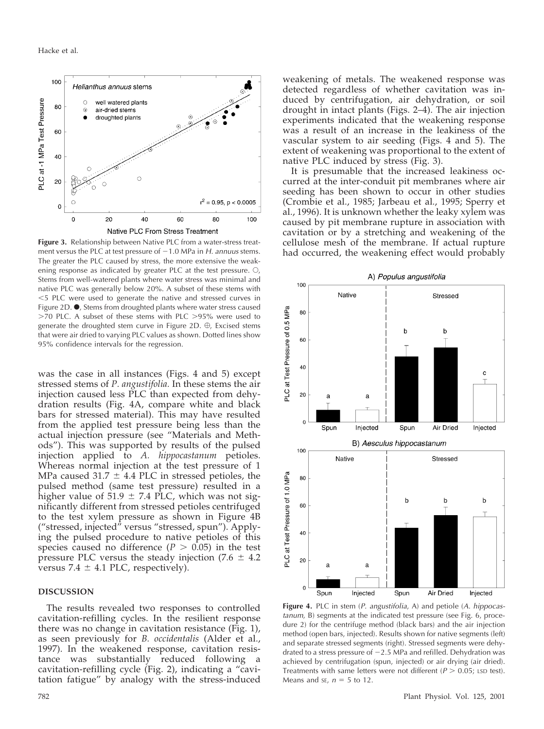

**Figure 3.** Relationship between Native PLC from a water-stress treatment versus the PLC at test pressure of  $-1.0$  MPa in H. annuus stems. The greater the PLC caused by stress, the more extensive the weakening response as indicated by greater PLC at the test pressure. O, Stems from well-watered plants where water stress was minimal and native PLC was generally below 20%. A subset of these stems with  $<$  5 PLC were used to generate the native and stressed curves in Figure 2D.  $\bullet$ , Stems from droughted plants where water stress caused  $>70$  PLC. A subset of these stems with PLC  $>95\%$  were used to generate the droughted stem curve in Figure 2D.  $\oplus$ , Excised stems that were air dried to varying PLC values as shown. Dotted lines show 95% confidence intervals for the regression.

was the case in all instances (Figs. 4 and 5) except stressed stems of *P. angustifolia.* In these stems the air injection caused less PLC than expected from dehydration results (Fig. 4A, compare white and black bars for stressed material). This may have resulted from the applied test pressure being less than the actual injection pressure (see "Materials and Methods"). This was supported by results of the pulsed injection applied to *A. hippocastanum* petioles. Whereas normal injection at the test pressure of 1 MPa caused 31.7  $\pm$  4.4 PLC in stressed petioles, the pulsed method (same test pressure) resulted in a higher value of 51.9  $\pm$  7.4 PLC, which was not significantly different from stressed petioles centrifuged to the test xylem pressure as shown in Figure 4B ("stressed, injected" versus "stressed, spun"). Applying the pulsed procedure to native petioles of this species caused no difference ( $P > 0.05$ ) in the test pressure PLC versus the steady injection (7.6  $\pm$  4.2 versus 7.4  $\pm$  4.1 PLC, respectively).

## **DISCUSSION**

The results revealed two responses to controlled cavitation-refilling cycles. In the resilient response there was no change in cavitation resistance (Fig. 1), as seen previously for *B. occidentalis* (Alder et al., 1997). In the weakened response, cavitation resistance was substantially reduced following a cavitation-refilling cycle (Fig. 2), indicating a "cavitation fatigue" by analogy with the stress-induced

weakening of metals. The weakened response was detected regardless of whether cavitation was induced by centrifugation, air dehydration, or soil drought in intact plants (Figs. 2–4). The air injection experiments indicated that the weakening response was a result of an increase in the leakiness of the vascular system to air seeding (Figs. 4 and 5). The extent of weakening was proportional to the extent of native PLC induced by stress (Fig. 3).

It is presumable that the increased leakiness occurred at the inter-conduit pit membranes where air seeding has been shown to occur in other studies (Crombie et al., 1985; Jarbeau et al., 1995; Sperry et al., 1996). It is unknown whether the leaky xylem was caused by pit membrane rupture in association with cavitation or by a stretching and weakening of the cellulose mesh of the membrane. If actual rupture had occurred, the weakening effect would probably



Figure 4. PLC in stem (P. angustifolia, A) and petiole (A. hippocastanum, B) segments at the indicated test pressure (see Fig. 6, procedure 2) for the centrifuge method (black bars) and the air injection method (open bars, injected). Results shown for native segments (left) and separate stressed segments (right). Stressed segments were dehydrated to a stress pressure of  $-2.5$  MPa and refilled. Dehydration was achieved by centrifugation (spun, injected) or air drying (air dried). Treatments with same letters were not different ( $P > 0.05$ ; LSD test). Means and SE,  $n = 5$  to 12.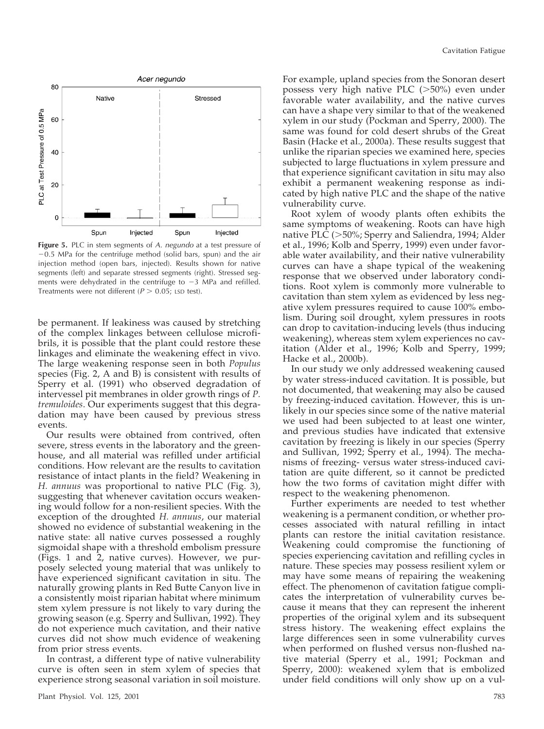

Figure 5. PLC in stem segments of A. negundo at a test pressure of  $-0.5$  MPa for the centrifuge method (solid bars, spun) and the air injection method (open bars, injected). Results shown for native segments (left) and separate stressed segments (right). Stressed segments were dehydrated in the centrifuge to  $-3$  MPa and refilled. Treatments were not different ( $P > 0.05$ ; LSD test).

be permanent. If leakiness was caused by stretching of the complex linkages between cellulose microfibrils, it is possible that the plant could restore these linkages and eliminate the weakening effect in vivo. The large weakening response seen in both *Populus* species (Fig. 2, A and B) is consistent with results of Sperry et al. (1991) who observed degradation of intervessel pit membranes in older growth rings of *P. tremuloides*. Our experiments suggest that this degradation may have been caused by previous stress events.

Our results were obtained from contrived, often severe, stress events in the laboratory and the greenhouse, and all material was refilled under artificial conditions. How relevant are the results to cavitation resistance of intact plants in the field? Weakening in *H. annuus* was proportional to native PLC (Fig. 3), suggesting that whenever cavitation occurs weakening would follow for a non-resilient species. With the exception of the droughted *H. annuus*, our material showed no evidence of substantial weakening in the native state: all native curves possessed a roughly sigmoidal shape with a threshold embolism pressure (Figs. 1 and 2, native curves). However, we purposely selected young material that was unlikely to have experienced significant cavitation in situ. The naturally growing plants in Red Butte Canyon live in a consistently moist riparian habitat where minimum stem xylem pressure is not likely to vary during the growing season (e.g. Sperry and Sullivan, 1992). They do not experience much cavitation, and their native curves did not show much evidence of weakening from prior stress events.

In contrast, a different type of native vulnerability curve is often seen in stem xylem of species that experience strong seasonal variation in soil moisture.

For example, upland species from the Sonoran desert possess very high native PLC  $(>50\%)$  even under favorable water availability, and the native curves can have a shape very similar to that of the weakened xylem in our study (Pockman and Sperry, 2000). The same was found for cold desert shrubs of the Great Basin (Hacke et al., 2000a). These results suggest that unlike the riparian species we examined here, species subjected to large fluctuations in xylem pressure and that experience significant cavitation in situ may also exhibit a permanent weakening response as indicated by high native PLC and the shape of the native vulnerability curve.

Root xylem of woody plants often exhibits the same symptoms of weakening. Roots can have high native PLC (>50%; Sperry and Saliendra, 1994; Alder et al., 1996; Kolb and Sperry, 1999) even under favorable water availability, and their native vulnerability curves can have a shape typical of the weakening response that we observed under laboratory conditions. Root xylem is commonly more vulnerable to cavitation than stem xylem as evidenced by less negative xylem pressures required to cause 100% embolism. During soil drought, xylem pressures in roots can drop to cavitation-inducing levels (thus inducing weakening), whereas stem xylem experiences no cavitation (Alder et al., 1996; Kolb and Sperry, 1999; Hacke et al., 2000b).

In our study we only addressed weakening caused by water stress-induced cavitation. It is possible, but not documented, that weakening may also be caused by freezing-induced cavitation. However, this is unlikely in our species since some of the native material we used had been subjected to at least one winter, and previous studies have indicated that extensive cavitation by freezing is likely in our species (Sperry and Sullivan, 1992; Sperry et al., 1994). The mechanisms of freezing- versus water stress-induced cavitation are quite different, so it cannot be predicted how the two forms of cavitation might differ with respect to the weakening phenomenon.

Further experiments are needed to test whether weakening is a permanent condition, or whether processes associated with natural refilling in intact plants can restore the initial cavitation resistance. Weakening could compromise the functioning of species experiencing cavitation and refilling cycles in nature. These species may possess resilient xylem or may have some means of repairing the weakening effect. The phenomenon of cavitation fatigue complicates the interpretation of vulnerability curves because it means that they can represent the inherent properties of the original xylem and its subsequent stress history. The weakening effect explains the large differences seen in some vulnerability curves when performed on flushed versus non-flushed native material (Sperry et al., 1991; Pockman and Sperry, 2000): weakened xylem that is embolized under field conditions will only show up on a vul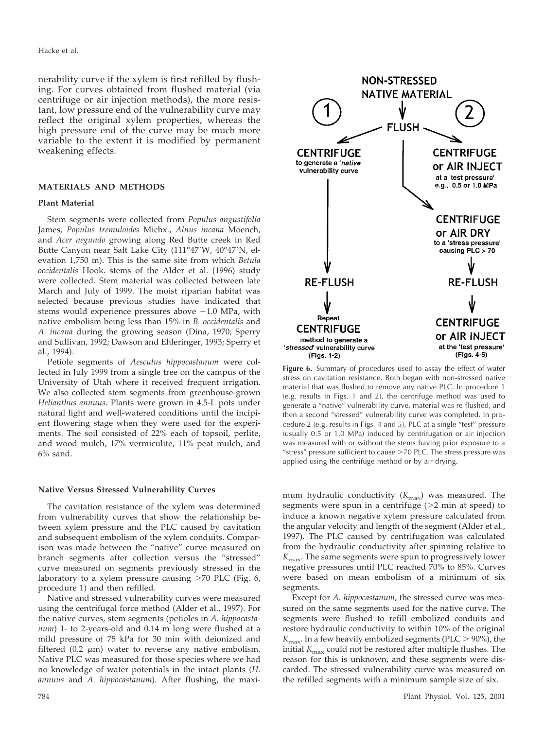nerability curve if the xylem is first refilled by flushing. For curves obtained from flushed material (via centrifuge or air injection methods), the more resistant, low pressure end of the vulnerability curve may reflect the original xylem properties, whereas the high pressure end of the curve may be much more variable to the extent it is modified by permanent weakening effects.

#### **MATERIALS AND METHODS**

## **Plant Material**

Stem segments were collected from *Populus angustifolia* James, *Populus tremuloides* Michx., *Alnus incana* Moench, and *Acer negundo* growing along Red Butte creek in Red Butte Canyon near Salt Lake City (111°47'W, 40°47'N, elevation 1,750 m). This is the same site from which *Betula occidentalis* Hook. stems of the Alder et al. (1996) study were collected. Stem material was collected between late March and July of 1999. The moist riparian habitat was selected because previous studies have indicated that stems would experience pressures above  $-1.0$  MPa, with native embolism being less than 15% in *B. occidentalis* and *A. incana* during the growing season (Dina, 1970; Sperry and Sullivan, 1992; Dawson and Ehleringer, 1993; Sperry et al., 1994).

Petiole segments of *Aesculus hippocastanum* were collected in July 1999 from a single tree on the campus of the University of Utah where it received frequent irrigation. We also collected stem segments from greenhouse-grown *Helianthus annuus*. Plants were grown in 4.5-L pots under natural light and well-watered conditions until the incipient flowering stage when they were used for the experiments. The soil consisted of 22% each of topsoil, perlite, and wood mulch, 17% vermiculite, 11% peat mulch, and 6% sand.

#### **Native Versus Stressed Vulnerability Curves**

The cavitation resistance of the xylem was determined from vulnerability curves that show the relationship between xylem pressure and the PLC caused by cavitation and subsequent embolism of the xylem conduits. Comparison was made between the "native" curve measured on branch segments after collection versus the "stressed" curve measured on segments previously stressed in the laboratory to a xylem pressure causing  $>70$  PLC (Fig. 6, procedure 1) and then refilled.

Native and stressed vulnerability curves were measured using the centrifugal force method (Alder et al., 1997). For the native curves, stem segments (petioles in *A. hippocastanum*) 1- to 2-years-old and 0.14 m long were flushed at a mild pressure of 75 kPa for 30 min with deionized and filtered (0.2  $\mu$ m) water to reverse any native embolism. Native PLC was measured for those species where we had no knowledge of water potentials in the intact plants (*H. annuus* and *A. hippocastanum*). After flushing, the maxi-



**Figure 6.** Summary of procedures used to assay the effect of water stress on cavitation resistance. Both began with non-stressed native material that was flushed to remove any native PLC. In procedure 1 (e.g. results in Figs. 1 and 2), the centrifuge method was used to generate a "native" vulnerability curve, material was re-flushed, and then a second "stressed" vulnerability curve was completed. In procedure 2 (e.g. results in Figs. 4 and 5), PLC at a single "test" pressure (usually 0.5 or 1.0 MPa) induced by centrifugation or air injection was measured with or without the stems having prior exposure to a "stress" pressure sufficient to cause  $>70$  PLC. The stress pressure was applied using the centrifuge method or by air drying.

mum hydraulic conductivity ( $K_{\text{max}}$ ) was measured. The segments were spun in a centrifuge  $(>2$  min at speed) to induce a known negative xylem pressure calculated from the angular velocity and length of the segment (Alder et al., 1997). The PLC caused by centrifugation was calculated from the hydraulic conductivity after spinning relative to *K*max. The same segments were spun to progressively lower negative pressures until PLC reached 70% to 85%. Curves were based on mean embolism of a minimum of six segments.

Except for *A. hippocastanum*, the stressed curve was measured on the same segments used for the native curve. The segments were flushed to refill embolized conduits and restore hydraulic conductivity to within 10% of the original  $K_{\text{max}}$ . In a few heavily embolized segments (PLC  $>$  90%), the initial  $K_{\text{max}}$  could not be restored after multiple flushes. The reason for this is unknown, and these segments were discarded. The stressed vulnerability curve was measured on the refilled segments with a minimum sample size of six.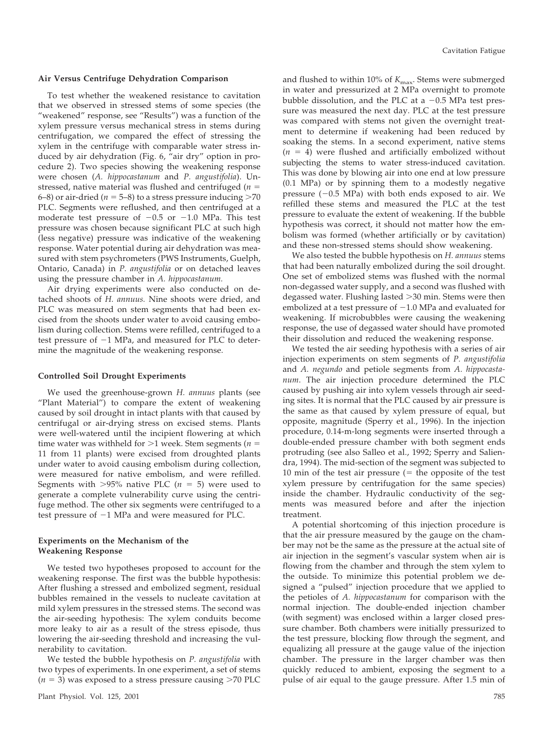## **Air Versus Centrifuge Dehydration Comparison**

To test whether the weakened resistance to cavitation that we observed in stressed stems of some species (the "weakened" response, see "Results") was a function of the xylem pressure versus mechanical stress in stems during centrifugation, we compared the effect of stressing the xylem in the centrifuge with comparable water stress induced by air dehydration (Fig. 6, "air dry" option in procedure 2). Two species showing the weakening response were chosen (*A. hippocastanum* and *P. angustifolia*). Unstressed, native material was flushed and centrifuged  $(n =$ 6–8) or air-dried ( $n = 5$ –8) to a stress pressure inducing  $>$ 70 PLC. Segments were reflushed, and then centrifuged at a moderate test pressure of  $-0.5$  or  $-1.0$  MPa. This test pressure was chosen because significant PLC at such high (less negative) pressure was indicative of the weakening response. Water potential during air dehydration was measured with stem psychrometers (PWS Instruments, Guelph, Ontario, Canada) in *P. angustifolia* or on detached leaves using the pressure chamber in *A. hippocastanum.*

Air drying experiments were also conducted on detached shoots of *H. annuus.* Nine shoots were dried, and PLC was measured on stem segments that had been excised from the shoots under water to avoid causing embolism during collection. Stems were refilled, centrifuged to a test pressure of  $-1$  MPa, and measured for PLC to determine the magnitude of the weakening response.

# **Controlled Soil Drought Experiments**

We used the greenhouse-grown *H. annuus* plants (see "Plant Material") to compare the extent of weakening caused by soil drought in intact plants with that caused by centrifugal or air-drying stress on excised stems. Plants were well-watered until the incipient flowering at which time water was withheld for  $>1$  week. Stem segments ( $n =$ 11 from 11 plants) were excised from droughted plants under water to avoid causing embolism during collection, were measured for native embolism, and were refilled. Segments with  $>95\%$  native PLC ( $n = 5$ ) were used to generate a complete vulnerability curve using the centrifuge method. The other six segments were centrifuged to a test pressure of  $-1$  MPa and were measured for PLC.

# **Experiments on the Mechanism of the Weakening Response**

We tested two hypotheses proposed to account for the weakening response. The first was the bubble hypothesis: After flushing a stressed and embolized segment, residual bubbles remained in the vessels to nucleate cavitation at mild xylem pressures in the stressed stems. The second was the air-seeding hypothesis: The xylem conduits become more leaky to air as a result of the stress episode, thus lowering the air-seeding threshold and increasing the vulnerability to cavitation.

We tested the bubble hypothesis on *P. angustifolia* with two types of experiments. In one experiment, a set of stems  $(n = 3)$  was exposed to a stress pressure causing  $>70$  PLC

and flushed to within 10% of  $K_{\text{max}}$ . Stems were submerged in water and pressurized at 2 MPa overnight to promote bubble dissolution, and the PLC at a  $-0.5$  MPa test pressure was measured the next day. PLC at the test pressure was compared with stems not given the overnight treatment to determine if weakening had been reduced by soaking the stems. In a second experiment, native stems  $(n = 4)$  were flushed and artificially embolized without subjecting the stems to water stress-induced cavitation. This was done by blowing air into one end at low pressure (0.1 MPa) or by spinning them to a modestly negative pressure  $(-0.5 \text{ MPa})$  with both ends exposed to air. We refilled these stems and measured the PLC at the test pressure to evaluate the extent of weakening. If the bubble hypothesis was correct, it should not matter how the embolism was formed (whether artificially or by cavitation) and these non-stressed stems should show weakening.

We also tested the bubble hypothesis on *H. annuus* stems that had been naturally embolized during the soil drought. One set of embolized stems was flushed with the normal non-degassed water supply, and a second was flushed with degassed water. Flushing lasted  $>$  30 min. Stems were then embolized at a test pressure of  $-1.0$  MPa and evaluated for weakening. If microbubbles were causing the weakening response, the use of degassed water should have promoted their dissolution and reduced the weakening response.

We tested the air seeding hypothesis with a series of air injection experiments on stem segments of *P. angustifolia* and *A. negundo* and petiole segments from *A. hippocastanum*. The air injection procedure determined the PLC caused by pushing air into xylem vessels through air seeding sites. It is normal that the PLC caused by air pressure is the same as that caused by xylem pressure of equal, but opposite, magnitude (Sperry et al., 1996). In the injection procedure, 0.14-m-long segments were inserted through a double-ended pressure chamber with both segment ends protruding (see also Salleo et al., 1992; Sperry and Saliendra, 1994). The mid-section of the segment was subjected to 10 min of the test air pressure  $(=$  the opposite of the test xylem pressure by centrifugation for the same species) inside the chamber. Hydraulic conductivity of the segments was measured before and after the injection treatment.

A potential shortcoming of this injection procedure is that the air pressure measured by the gauge on the chamber may not be the same as the pressure at the actual site of air injection in the segment's vascular system when air is flowing from the chamber and through the stem xylem to the outside. To minimize this potential problem we designed a "pulsed" injection procedure that we applied to the petioles of *A. hippocastanum* for comparison with the normal injection. The double-ended injection chamber (with segment) was enclosed within a larger closed pressure chamber. Both chambers were initially pressurized to the test pressure, blocking flow through the segment, and equalizing all pressure at the gauge value of the injection chamber. The pressure in the larger chamber was then quickly reduced to ambient, exposing the segment to a pulse of air equal to the gauge pressure. After 1.5 min of